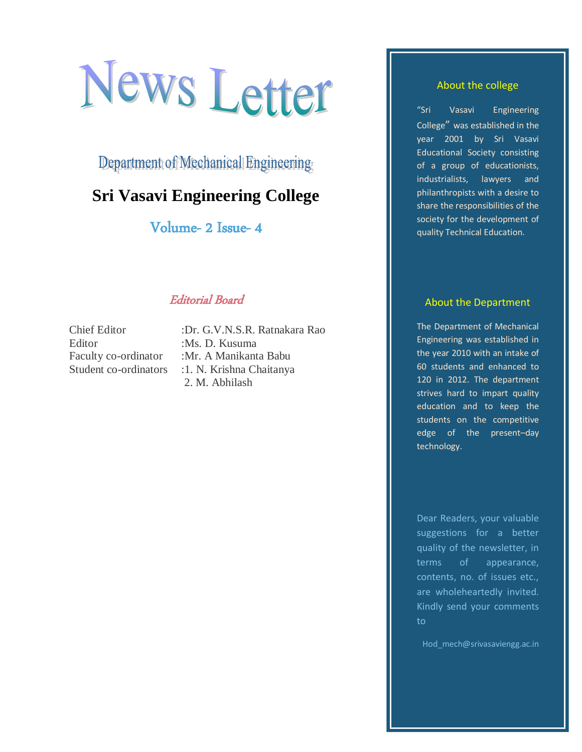# News Letter

Department of Mechanical Engineering

# **Sri Vasavi Engineering College**

Volume- 2 Issue- 4

# Editorial Board

Editor :Ms. D. Kusuma

Chief Editor :Dr. G.V.N.S.R. Ratnakara Rao Faculty co-ordinator :Mr. A Manikanta Babu Student co-ordinators : 1. N. Krishna Chaitanya 2. M. Abhilash

#### About the college

"Sri Vasavi Engineering College" was established in the year 2001 by Sri Vasavi Educational Society consisting of a group of educationists, industrialists, lawyers and philanthropists with a desire to share the responsibilities of the society for the development of quality Technical Education.

#### About the Department

The Department of Mechanical Engineering was established in the year 2010 with an intake of 60 students and enhanced to 120 in 2012. The department strives hard to impart quality education and to keep the students on the competitive edge of the present–day technology.

Dear Readers, your valuable suggestions for a better quality of the newsletter, in terms of appearance, contents, no. of issues etc., are wholeheartedly invited. Kindly send your comments to

Hod\_mech@srivasaviengg.ac.in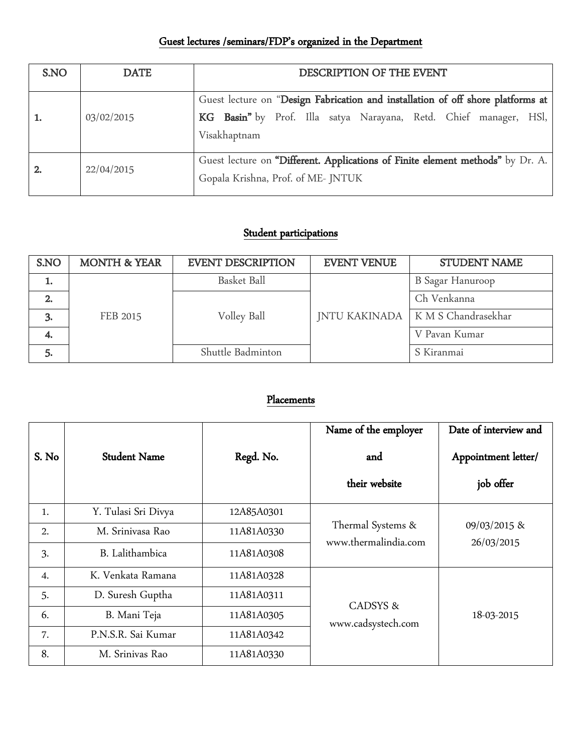# Guest lectures /seminars/FDP's organized in the Department

| S.NO | <b>DATE</b> | DESCRIPTION OF THE EVENT                                                                                                                                             |  |  |
|------|-------------|----------------------------------------------------------------------------------------------------------------------------------------------------------------------|--|--|
|      | 03/02/2015  | Guest lecture on "Design Fabrication and installation of off shore platforms at<br>KG Basin" by Prof. Illa satya Narayana, Retd. Chief manager, HSl,<br>Visakhaptnam |  |  |
| -2.  | 22/04/2015  | Guest lecture on "Different. Applications of Finite element methods" by Dr. A.<br>Gopala Krishna, Prof. of ME-JNTUK                                                  |  |  |

# Student participations

| S.NO | <b>MONTH &amp; YEAR</b> | <b>EVENT DESCRIPTION</b> | <b>EVENT VENUE</b> | <b>STUDENT NAME</b>                 |
|------|-------------------------|--------------------------|--------------------|-------------------------------------|
|      |                         | Basket Ball              |                    | <b>B</b> Sagar Hanuroop             |
|      |                         |                          |                    | Ch Venkanna                         |
| 3.   | FEB 2015                | Volley Ball              |                    | JNTU KAKINADA   K M S Chandrasekhar |
| 4.   |                         |                          |                    | V Pavan Kumar                       |
| 5.   |                         | Shuttle Badminton        |                    | S Kiranmai                          |

## Placements

|       |                     |            | Name of the employer                      | Date of interview and            |
|-------|---------------------|------------|-------------------------------------------|----------------------------------|
| S. No | <b>Student Name</b> | Regd. No.  | and<br>their website                      | Appointment letter/<br>job offer |
|       |                     |            |                                           |                                  |
| 1.    | Y. Tulasi Sri Divya | 12A85A0301 | Thermal Systems &<br>www.thermalindia.com | 09/03/2015 &<br>26/03/2015       |
| 2.    | M. Sriniyasa Rao    | 11A81A0330 |                                           |                                  |
| 3.    | B. Lalithambica     | 11A81A0308 |                                           |                                  |
| 4.    | K. Venkata Ramana   | 11A81A0328 | CADSYS &<br>www.cadsystech.com            | 18-03-2015                       |
| 5.    | D. Suresh Guptha    | 11A81A0311 |                                           |                                  |
| 6.    | B. Mani Teja        | 11A81A0305 |                                           |                                  |
| 7.    | P.N.S.R. Sai Kumar  | 11A81A0342 |                                           |                                  |
| 8.    | M. Srinivas Rao     | 11A81A0330 |                                           |                                  |